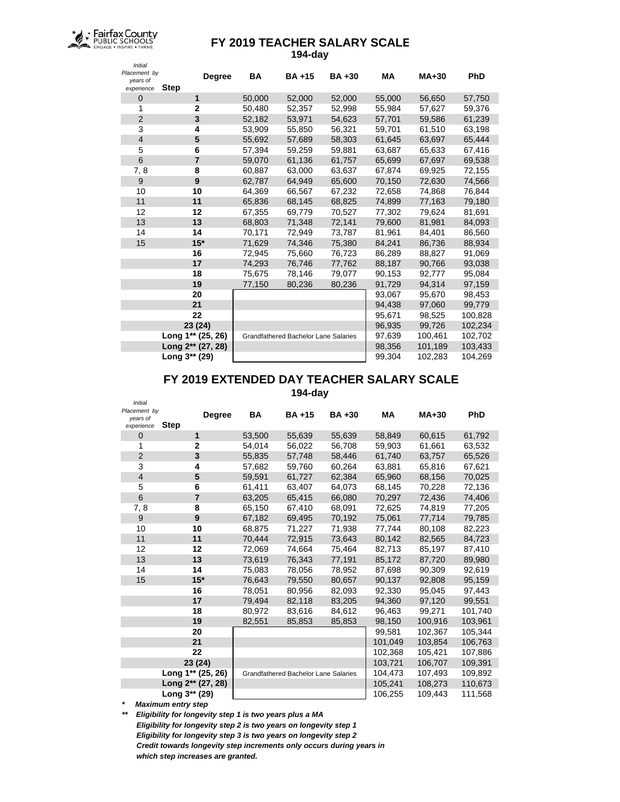

## **FY 2019 TEACHER SALARY SCALE 194-day**

| <b>Initial</b>                         |                                                           |           |              |           |        |         |            |
|----------------------------------------|-----------------------------------------------------------|-----------|--------------|-----------|--------|---------|------------|
| Placement by<br>years of<br>experience | <b>Degree</b><br><b>Step</b>                              | <b>BA</b> | <b>BA+15</b> | $BA + 30$ | МA     | $MA+30$ | <b>PhD</b> |
| $\mathbf 0$                            | 1                                                         | 50,000    | 52,000       | 52,000    | 55,000 | 56,650  | 57,750     |
| 1                                      | $\overline{2}$                                            | 50,480    | 52,357       | 52,998    | 55,984 | 57,627  | 59,376     |
| $\overline{2}$                         | 3                                                         | 52,182    | 53,971       | 54,623    | 57,701 | 59,586  | 61,239     |
| 3                                      | 4                                                         | 53,909    | 55,850       | 56,321    | 59,701 | 61,510  | 63,198     |
| $\overline{4}$                         | 5                                                         | 55,692    | 57,689       | 58,303    | 61,645 | 63,697  | 65,444     |
| 5                                      | 6                                                         | 57,394    | 59,259       | 59,881    | 63,687 | 65,633  | 67,416     |
| 6                                      | 7                                                         | 59,070    | 61,136       | 61,757    | 65,699 | 67,697  | 69,538     |
| 7,8                                    | 8                                                         | 60,887    | 63,000       | 63,637    | 67,874 | 69,925  | 72,155     |
| 9                                      | 9                                                         | 62,787    | 64,949       | 65,600    | 70,150 | 72,630  | 74,566     |
| 10                                     | 10                                                        | 64,369    | 66,567       | 67,232    | 72,658 | 74,868  | 76,844     |
| 11                                     | 11                                                        | 65,836    | 68,145       | 68,825    | 74,899 | 77,163  | 79,180     |
| 12                                     | 12                                                        | 67,355    | 69,779       | 70,527    | 77,302 | 79,624  | 81,691     |
| 13                                     | 13                                                        | 68,803    | 71,348       | 72,141    | 79,600 | 81,981  | 84,093     |
| 14                                     | 14                                                        | 70,171    | 72,949       | 73,787    | 81,961 | 84,401  | 86,560     |
| 15                                     | $15*$                                                     | 71,629    | 74,346       | 75,380    | 84,241 | 86,736  | 88,934     |
|                                        | 16                                                        | 72,945    | 75,660       | 76,723    | 86,289 | 88,827  | 91,069     |
|                                        | 17                                                        | 74,293    | 76,746       | 77,762    | 88,187 | 90,766  | 93,038     |
|                                        | 18                                                        | 75,675    | 78,146       | 79,077    | 90,153 | 92,777  | 95,084     |
|                                        | 19                                                        | 77,150    | 80,236       | 80,236    | 91,729 | 94,314  | 97,159     |
|                                        | 20                                                        |           |              |           | 93,067 | 95,670  | 98,453     |
|                                        | 21                                                        |           |              |           | 94,438 | 97,060  | 99,779     |
|                                        | 22                                                        |           |              |           | 95,671 | 98,525  | 100,828    |
|                                        | 23 (24)                                                   |           |              |           | 96,935 | 99,726  | 102,234    |
|                                        | Long 1** (25, 26)<br>Grandfathered Bachelor Lane Salaries |           |              |           | 97,639 | 100,461 | 102,702    |
|                                        | Long 2** (27, 28)                                         |           |              |           | 98,356 | 101,189 | 103,433    |
|                                        | Long 3** (29)                                             |           |              |           | 99,304 | 102,283 | 104,269    |

## **FY 2019 EXTENDED DAY TEACHER SALARY SCALE**

**194-day**

| <b>Initial</b>                         |                                                           |        |              |              |         |         |            |
|----------------------------------------|-----------------------------------------------------------|--------|--------------|--------------|---------|---------|------------|
| Placement by<br>years of<br>experience | <b>Degree</b><br><b>Step</b>                              | BA     | <b>BA+15</b> | <b>BA+30</b> | МA      | $MA+30$ | <b>PhD</b> |
| 0                                      | 1                                                         | 53,500 | 55,639       | 55,639       | 58,849  | 60,615  | 61,792     |
| 1                                      | $\overline{2}$                                            | 54.014 | 56,022       | 56,708       | 59.903  | 61,661  | 63,532     |
| $\overline{2}$                         | 3                                                         | 55,835 | 57,748       | 58,446       | 61,740  | 63,757  | 65,526     |
| 3                                      | 4                                                         | 57,682 | 59,760       | 60,264       | 63,881  | 65,816  | 67,621     |
| $\overline{4}$                         | 5                                                         | 59.591 | 61,727       | 62.384       | 65,960  | 68,156  | 70,025     |
| 5                                      | 6                                                         | 61,411 | 63,407       | 64,073       | 68,145  | 70,228  | 72,136     |
| 6                                      | $\overline{7}$                                            | 63,205 | 65,415       | 66,080       | 70,297  | 72,436  | 74,406     |
| 7,8                                    | 8                                                         | 65,150 | 67,410       | 68,091       | 72,625  | 74,819  | 77,205     |
| $\boldsymbol{9}$                       | 9                                                         | 67,182 | 69,495       | 70,192       | 75,061  | 77,714  | 79,785     |
| 10                                     | 10                                                        | 68,875 | 71,227       | 71,938       | 77,744  | 80,108  | 82,223     |
| 11                                     | 11                                                        | 70.444 | 72,915       | 73,643       | 80,142  | 82,565  | 84,723     |
| 12                                     | 12                                                        | 72,069 | 74,664       | 75,464       | 82,713  | 85,197  | 87,410     |
| 13                                     | 13                                                        | 73,619 | 76,343       | 77,191       | 85,172  | 87,720  | 89,980     |
| 14                                     | 14                                                        | 75,083 | 78,056       | 78,952       | 87,698  | 90,309  | 92,619     |
| 15                                     | $15*$                                                     | 76.643 | 79,550       | 80,657       | 90,137  | 92,808  | 95,159     |
|                                        | 16                                                        | 78,051 | 80,956       | 82,093       | 92,330  | 95,045  | 97,443     |
|                                        | 17                                                        | 79,494 | 82,118       | 83,205       | 94,360  | 97,120  | 99,551     |
|                                        | 18                                                        | 80,972 | 83,616       | 84.612       | 96,463  | 99,271  | 101,740    |
|                                        | 19                                                        | 82,551 | 85,853       | 85,853       | 98,150  | 100,916 | 103,961    |
|                                        | 20                                                        |        |              |              | 99,581  | 102,367 | 105,344    |
|                                        | 21                                                        |        |              |              | 101,049 | 103,854 | 106,763    |
|                                        | 22                                                        |        |              |              | 102,368 | 105,421 | 107,886    |
|                                        | 23 (24)                                                   |        |              |              | 103,721 | 106,707 | 109,391    |
|                                        | Long 1** (25, 26)<br>Grandfathered Bachelor Lane Salaries |        |              |              | 104,473 | 107,493 | 109,892    |
|                                        | Long 2** (27, 28)                                         |        |              |              | 105,241 | 108,273 | 110,673    |
|                                        | Long 3** (29)                                             |        |              |              | 106,255 | 109,443 | 111,568    |

*\* Maximum entry step*

*\*\* Eligibility for longevity step 1 is two years plus a MA Eligibility for longevity step 2 is two years on longevity step 1 Eligibility for longevity step 3 is two years on longevity step 2 Credit towards longevity step increments only occurs during years in which step increases are granted.*